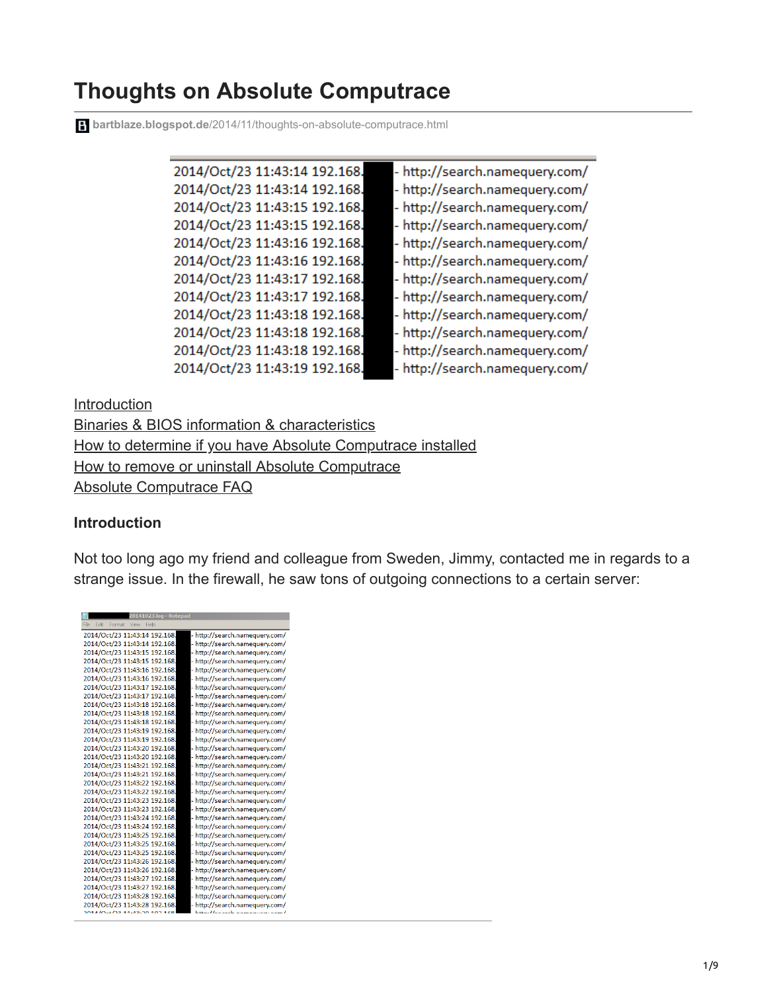# **Thoughts on Absolute Computrace**

**bartblaze.blogspot.de**[/2014/11/thoughts-on-absolute-computrace.html](https://bartblaze.blogspot.de/2014/11/thoughts-on-absolute-computrace.html)

| 2014/Oct/23 11:43:14 192.168. | - http://search.namequery.com/ |
|-------------------------------|--------------------------------|
| 2014/Oct/23 11:43:14 192.168. | - http://search.namequery.com/ |
| 2014/Oct/23 11:43:15 192.168. | - http://search.namequery.com/ |
| 2014/Oct/23 11:43:15 192.168. | - http://search.namequery.com/ |
| 2014/Oct/23 11:43:16 192.168. | - http://search.namequery.com/ |
| 2014/Oct/23 11:43:16 192.168. | - http://search.namequery.com/ |
| 2014/Oct/23 11:43:17 192.168. | - http://search.namequery.com/ |
| 2014/Oct/23 11:43:17 192.168. | - http://search.namequery.com/ |
| 2014/Oct/23 11:43:18 192.168. | - http://search.namequery.com/ |
| 2014/Oct/23 11:43:18 192.168. | - http://search.namequery.com/ |
| 2014/Oct/23 11:43:18 192.168. | - http://search.namequery.com/ |
| 2014/Oct/23 11:43:19 192.168. | - http://search.namequery.com/ |
|                               |                                |

**[Introduction](http://bartblaze.blogspot.com/2014/11/thoughts-on-absolute-computrace.html#Introduction)** [Binaries & BIOS information & characteristics](http://bartblaze.blogspot.com/2014/11/thoughts-on-absolute-computrace.html#BIOS) [How to determine if you have Absolute Computrace installed](http://bartblaze.blogspot.com/2014/11/thoughts-on-absolute-computrace.html#determine) [How to remove or uninstall Absolute Computrace](http://bartblaze.blogspot.com/2014/11/thoughts-on-absolute-computrace.html#uninstall) [Absolute Computrace FAQ](http://bartblaze.blogspot.com/2014/11/thoughts-on-absolute-computrace.html#FAQ)

## **Introduction**

Not too long ago my friend and colleague from Sweden, Jimmy, contacted me in regards to a strange issue. In the firewall, he saw tons of outgoing connections to a certain server:

| 20141023.log - Notepad                                          |  |
|-----------------------------------------------------------------|--|
| ile<br>Edit<br>Format<br>View<br>Help                           |  |
| - http://search.namequery.com/<br>2014/Oct/23 11:43:14 192.168. |  |
| 2014/Oct/23 11:43:14 192.168.<br>- http://search.namequery.com/ |  |
| 2014/Oct/23 11:43:15 192.168.<br>- http://search.namequery.com/ |  |
| 2014/Oct/23 11:43:15 192.168.<br>- http://search.namequery.com/ |  |
| 2014/Oct/23 11:43:16 192.168.<br>- http://search.namequery.com/ |  |
| 2014/Oct/23 11:43:16 192.168.<br>http://search.namequery.com/   |  |
| 2014/Oct/23 11:43:17 192.168.<br>- http://search.namequery.com/ |  |
| 2014/Oct/23 11:43:17 192.168.<br>- http://search.namequery.com/ |  |
| 2014/Oct/23 11:43:18 192.168.<br>- http://search.namequery.com/ |  |
| 2014/Oct/23 11:43:18 192.168.<br>- http://search.namequery.com/ |  |
| 2014/Oct/23 11:43:18 192.168.<br>- http://search.namequery.com/ |  |
| 2014/Oct/23 11:43:19 192.168.<br>- http://search.namequery.com/ |  |
| 2014/Oct/23 11:43:19 192.168.<br>- http://search.namequery.com/ |  |
| 2014/Oct/23 11:43:20 192.168.<br>http://search.namequery.com/   |  |
| 2014/Oct/23 11:43:20 192.168.<br>http://search.namequery.com/   |  |
| 2014/Oct/23 11:43:21 192.168.<br>http://search.namequery.com/   |  |
| 2014/Oct/23 11:43:21 192.168.<br>- http://search.namequery.com/ |  |
| 2014/Oct/23 11:43:22 192.168.<br>- http://search.namequery.com/ |  |
| 2014/Oct/23 11:43:22 192.168.<br>- http://search.namequery.com/ |  |
| 2014/Oct/23 11:43:23 192.168.<br>- http://search.namequery.com/ |  |
| 2014/Oct/23 11:43:23 192.168.<br>- http://search.namequery.com/ |  |
| 2014/Oct/23 11:43:24 192.168.<br>- http://search.namequery.com/ |  |
| 2014/Oct/23 11:43:24 192.168.<br>- http://search.namequery.com/ |  |
| 2014/Oct/23 11:43:25 192.168.<br>http://search.namequery.com/   |  |
| 2014/Oct/23 11:43:25 192.168.<br>- http://search.namequery.com/ |  |
| 2014/Oct/23 11:43:25 192.168.<br>- http://search.namequery.com/ |  |
| 2014/Oct/23 11:43:26 192.168.<br>- http://search.namequery.com/ |  |
| 2014/Oct/23 11:43:26 192.168.<br>- http://search.namequery.com/ |  |
| 2014/Oct/23 11:43:27 192.168.<br>- http://search.namequery.com/ |  |
| 2014/Oct/23 11:43:27 192.168.<br>- http://search.namequery.com/ |  |
| 2014/Oct/23 11:43:28 192.168.<br>- http://search.namequery.com/ |  |
| 2014/Oct/23 11:43:28 192.168.<br>- http://search.namequery.com/ |  |
| $0.1110 + 122$<br>1.12.30.103                                   |  |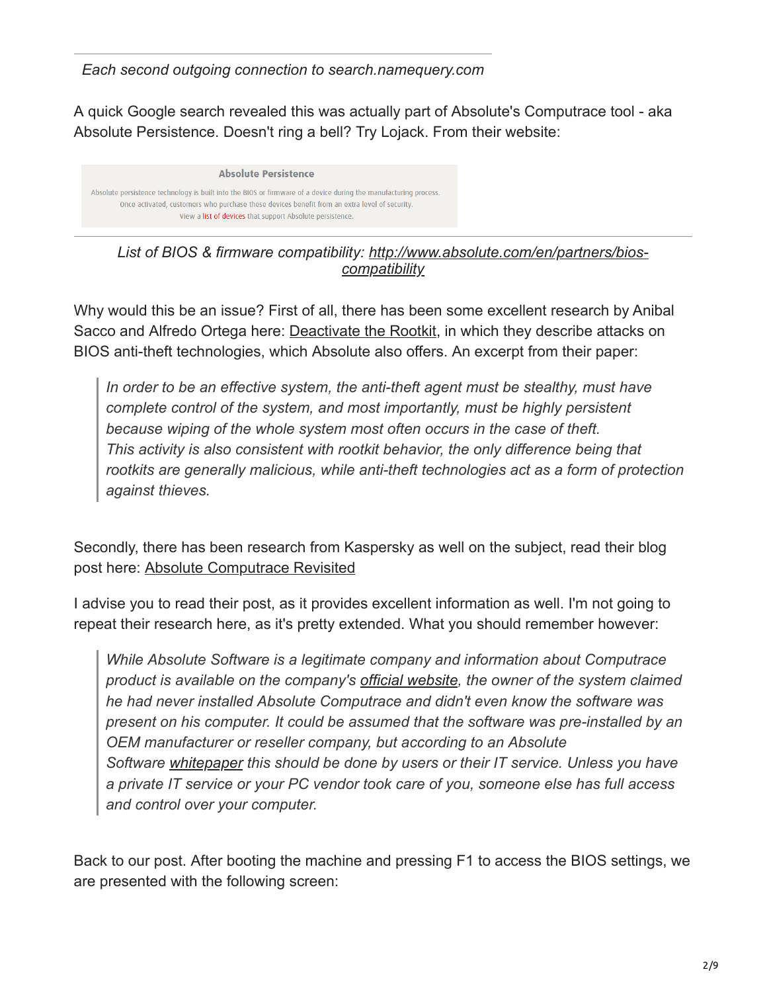*Each second outgoing connection to search.namequery.com*

A quick Google search revealed this was actually part of Absolute's Computrace tool - aka Absolute Persistence. Doesn't ring a bell? Try Lojack. From their website:

**Absolute Persistence** Absolute persistence technology is built into the BIOS or firmware of a device during the manufacturing process. Once activated, customers who purchase these devices benefit from an extra level of security. View a list of devices that support Absolute persistence.

*List of BIOS & firmware compatibi[lity: http://www.absolute.com/en/partners/bios](http://www.absolute.com/en/partners/bios-compatibility)compatibility*

Why would this be an issue? First of all, there has been some excellent research by Anibal Sacco and Alfredo Ortega here: [Deactivate the Rootkit,](http://corelabs.coresecurity.com/index.php?module=Wiki&action=view&type=publication&name=Deactivate_the_Rootkit) in which they describe attacks on BIOS anti-theft technologies, which Absolute also offers. An excerpt from their paper:

*In order to be an effective system, the anti-theft agent must be stealthy, must have complete control of the system, and most importantly, must be highly persistent because wiping of the whole system most often occurs in the case of theft. This activity is also consistent with rootkit behavior, the only difference being that rootkits are generally malicious, while anti-theft technologies act as a form of protection against thieves.*

Secondly, there has been research from Kaspersky as well on the subject, read their blog post here: [Absolute Computrace Revisited](http://securelist.com/analysis/publications/58278/absolute-computrace-revisited/)

I advise you to read their post, as it provides excellent information as well. I'm not going to repeat their research here, as it's pretty extended. What you should remember however:

*While Absolute Software is a legitimate company and information about Computrace product is available on the company's [official website](http://www.absolute.com/ru-ru), the owner of the system claimed he had never installed Absolute Computrace and didn't even know the software was present on his computer. It could be assumed that the software was pre-installed by an OEM manufacturer or reseller company, but according to an Absolute Software [whitepaper](http://www.absolute.com/en/resources/whitepapers/absolute-persistence-technology) this should be done by users or their IT service. Unless you have a private IT service or your PC vendor took care of you, someone else has full access and control over your computer.*

Back to our post. After booting the machine and pressing F1 to access the BIOS settings, we are presented with the following screen: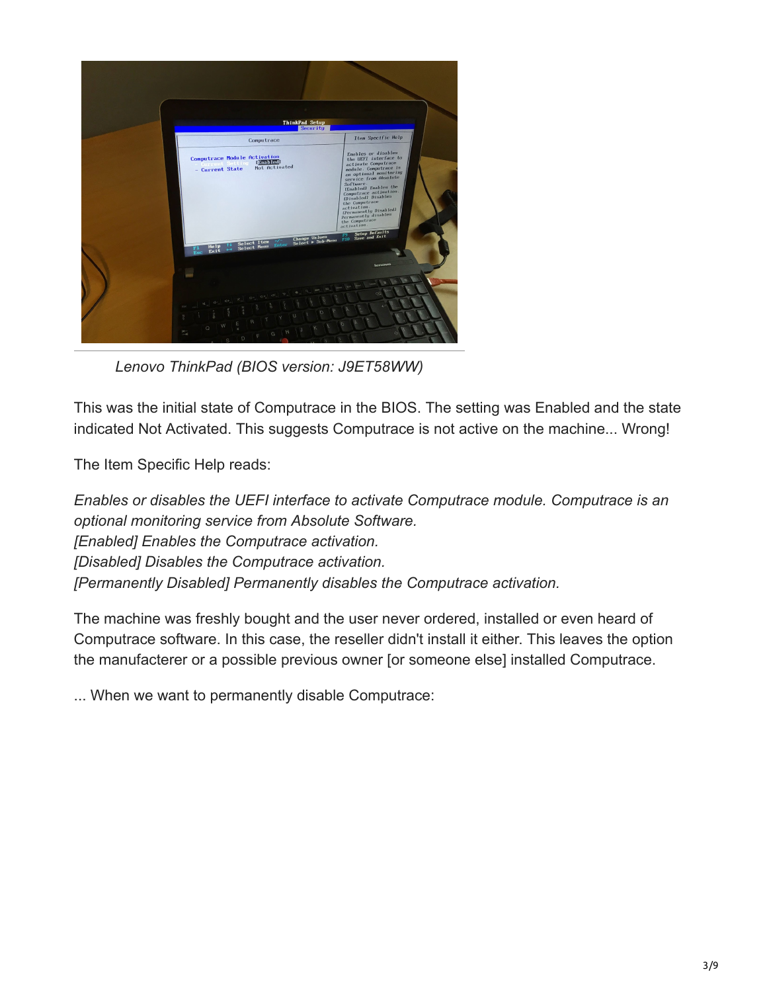

*Lenovo ThinkPad (BIOS version: J9ET58WW)*

This was the initial state of Computrace in the BIOS. The setting was Enabled and the state indicated Not Activated. This suggests Computrace is not active on the machine... Wrong!

The Item Specific Help reads:

*Enables or disables the UEFI interface to activate Computrace module. Computrace is an optional monitoring service from Absolute Software. [Enabled] Enables the Computrace activation. [Disabled] Disables the Computrace activation. [Permanently Disabled] Permanently disables the Computrace activation.*

The machine was freshly bought and the user never ordered, installed or even heard of Computrace software. In this case, the reseller didn't install it either. This leaves the option the manufacterer or a possible previous owner [or someone else] installed Computrace.

... When we want to permanently disable Computrace: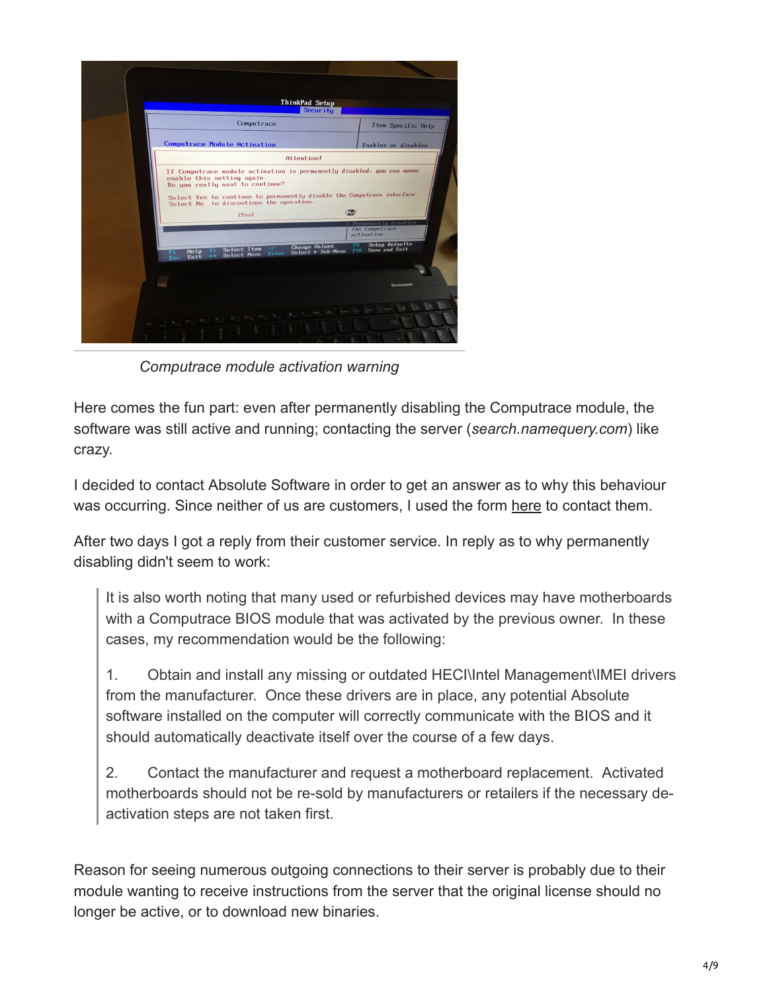

*Computrace module activation warning*

Here comes the fun part: even after permanently disabling the Computrace module, the software was still active and running; contacting the server (*search.namequery.com*) like crazy.

I decided to contact Absolute Software in order to get an answer as to why this behaviour was occurring. Since neither of us are customers, I used the form [here](https://www.absolute.com/en/support/contact/security) to contact them.

After two days I got a reply from their customer service. In reply as to why permanently disabling didn't seem to work:

It is also worth noting that many used or refurbished devices may have motherboards with a Computrace BIOS module that was activated by the previous owner. In these cases, my recommendation would be the following:

1. Obtain and install any missing or outdated HECI\Intel Management\IMEI drivers from the manufacturer. Once these drivers are in place, any potential Absolute software installed on the computer will correctly communicate with the BIOS and it should automatically deactivate itself over the course of a few days.

2. Contact the manufacturer and request a motherboard replacement. Activated motherboards should not be re-sold by manufacturers or retailers if the necessary deactivation steps are not taken first.

Reason for seeing numerous outgoing connections to their server is probably due to their module wanting to receive instructions from the server that the original license should no longer be active, or to download new binaries.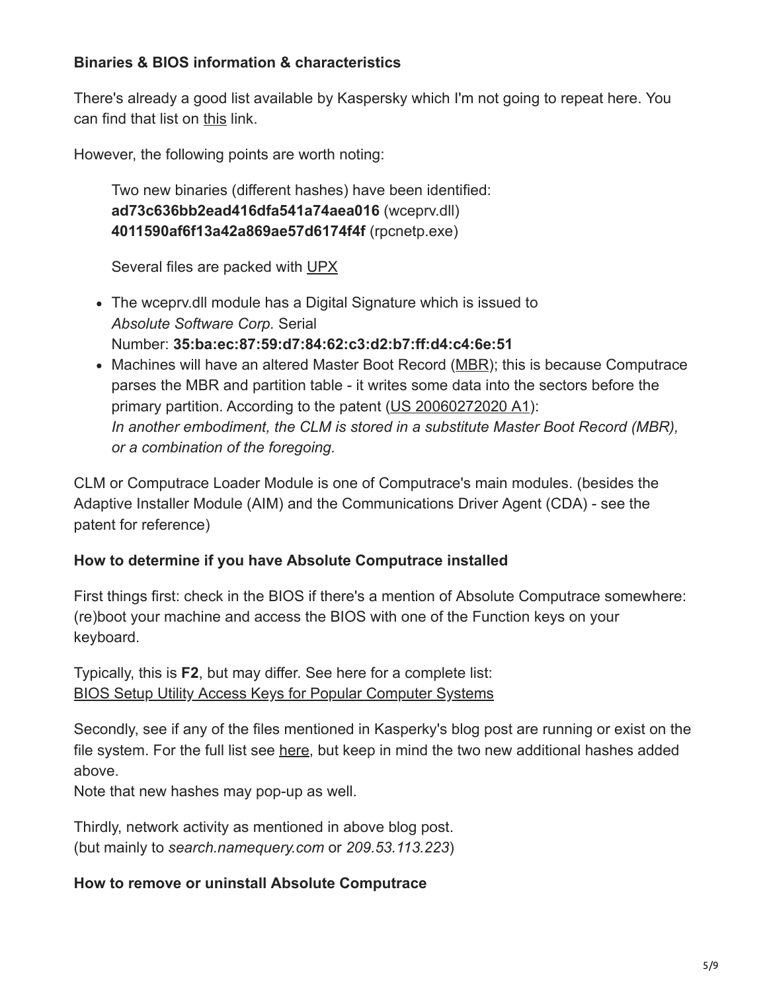# **Binaries & BIOS information & characteristics**

There's already a good list available by Kaspersky which I'm not going to repeat here. You can find that list on [this](http://securelist.com/analysis/publications/58278/absolute-computrace-revisited/#03) link.

However, the following points are worth noting:

Two new binaries (different hashes) have been identified: **ad73c636bb2ead416dfa541a74aea016** (wceprv.dll) **4011590af6f13a42a869ae57d6174f4f** (rpcnetp.exe)

Several files are packed with [UPX](http://upx.sourceforge.net/)

- The wceprv.dll module has a Digital Signature which is issued to *Absolute Software Corp.* Serial Number: **35:ba:ec:87:59:d7:84:62:c3:d2:b7:ff:d4:c4:6e:51**
- Machines will have an altered Master Boot Record ([MBR\)](http://en.wikipedia.org/wiki/Master_boot_record); this is because Computrace parses the MBR and partition table - it writes some data into the sectors before the primary partition. According to the patent ([US 20060272020 A1](http://www.google.co.in/patents/US20060272020)): *In another embodiment, the CLM is stored in a substitute Master Boot Record (MBR), or a combination of the foregoing.*

CLM or Computrace Loader Module is one of Computrace's main modules. (besides the Adaptive Installer Module (AIM) and the Communications Driver Agent (CDA) - see the patent for reference)

## **How to determine if you have Absolute Computrace installed**

First things first: check in the BIOS if there's a mention of Absolute Computrace somewhere: (re)boot your machine and access the BIOS with one of the Function keys on your keyboard.

Typically, this is **F2**, but may differ. See here for a complete list: [BIOS Setup Utility Access Keys for Popular Computer Systems](http://pcsupport.about.com/od/fixtheproblem/a/biosaccess_pc.htm)

Secondly, see if any of the files mentioned in Kasperky's blog post are running or exist on the file system. For the full list see [here](http://securelist.com/analysis/publications/58278/absolute-computrace-revisited/#17), but keep in mind the two new additional hashes added above.

Note that new hashes may pop-up as well.

Thirdly, network activity as mentioned in above blog post. (but mainly to *search.namequery.com* or *209.53.113.223*)

#### **How to remove or uninstall Absolute Computrace**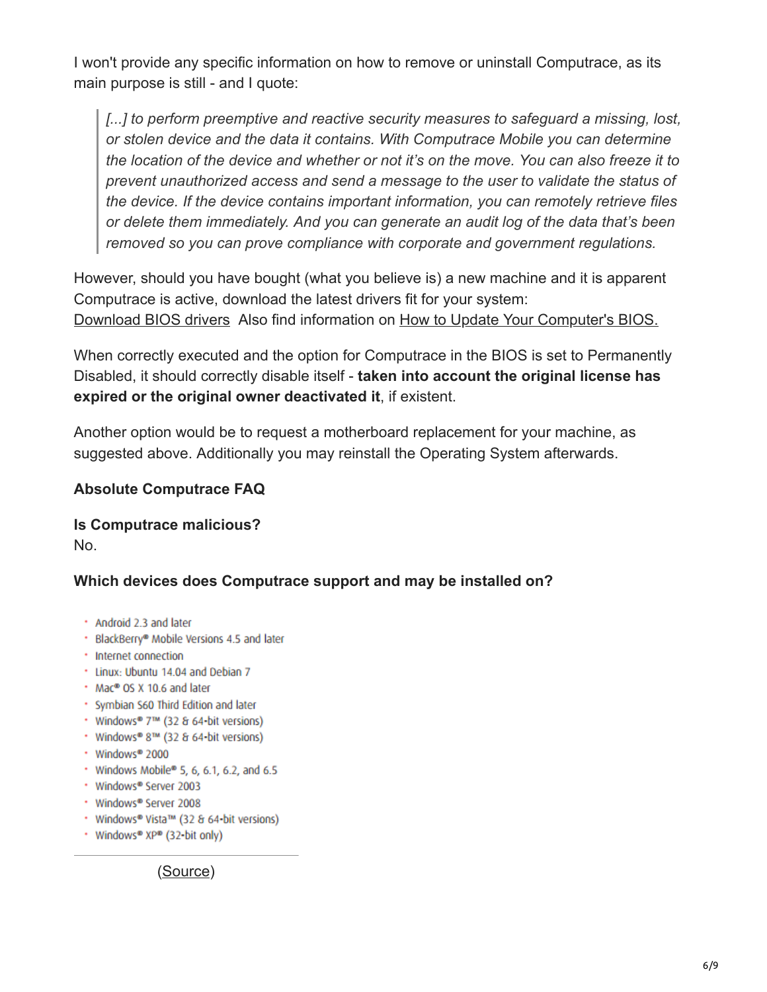I won't provide any specific information on how to remove or uninstall Computrace, as its main purpose is still - and I quote:

*[...] to perform preemptive and reactive security measures to safeguard a missing, lost, or stolen device and the data it contains. With Computrace Mobile you can determine the location of the device and whether or not it's on the move. You can also freeze it to prevent unauthorized access and send a message to the user to validate the status of the device. If the device contains important information, you can remotely retrieve files or delete them immediately. And you can generate an audit log of the data that's been removed so you can prove compliance with corporate and government regulations.*

However, should you have bought (what you believe is) a new machine and it is apparent Computrace is active, download the latest drivers fit for your system: [Download BIOS drivers](http://drivers.softpedia.com/get/BIOS/) Also find information on [How to Update Your Computer's BIOS.](http://www.wikihow.com/Update-Your-Computer%27s-BIOS)

When correctly executed and the option for Computrace in the BIOS is set to Permanently Disabled, it should correctly disable itself - **taken into account the original license has expired or the original owner deactivated it**, if existent.

Another option would be to request a motherboard replacement for your machine, as suggested above. Additionally you may reinstall the Operating System afterwards.

## **Absolute Computrace FAQ**

**Is Computrace malicious?** No.

## **Which devices does Computrace support and may be installed on?**

- Android 2.3 and later
- · BlackBerry® Mobile Versions 4.5 and later
- Internet connection
- \* Linux: Ubuntu 14.04 and Debian 7
- . Mac® OS X 10.6 and later
- · Symbian S60 Third Edition and later
- Windows® 7™ (32 & 64-bit versions)
- Windows® 8™ (32 & 64-bit versions)
- · Windows® 2000
- \* Windows Mobile® 5, 6, 6.1, 6.2, and 6.5
- Windows® Server 2003
- \* Windows® Server 2008
- Windows® Vista™ (32 & 64-bit versions)
- Windows® XP® (32-bit only)

([Source\)](http://www.absolute.com/en/resources/datasheets/absolute-computrace-mobile)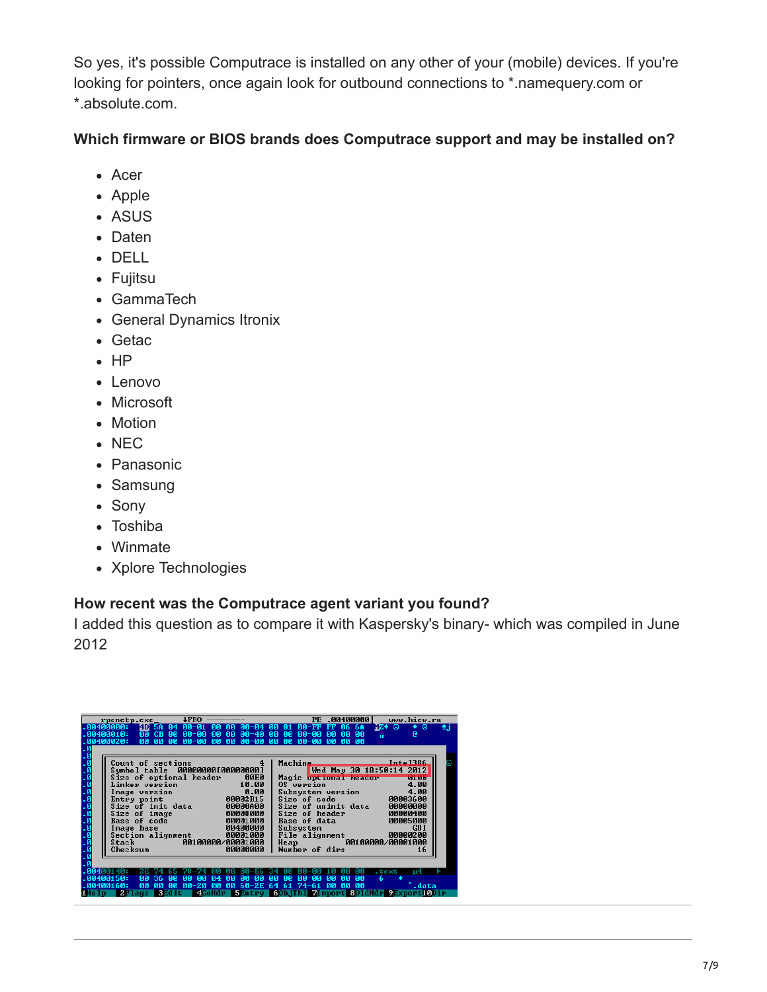So yes, it's possible Computrace is installed on any other of your (mobile) devices. If you're looking for pointers, once again look for outbound connections to \*.namequery.com or \*.absolute.com.

## **Which firmware or BIOS brands does Computrace support and may be installed on?**

- Acer
- Apple
- ASUS
- Daten
- DELL
- Fujitsu
- GammaTech
- General Dynamics Itronix
- Getac
- $\cdot$  HP
- Lenovo
- Microsoft
- Motion
- NEC
- Panasonic
- Samsung
- Sony
- Toshiba
- Winmate
- Xplore Technologies

## **How recent was the Computrace agent variant you found?**

I added this question as to compare it with Kaspersky's binary- which was compiled in June 2012

| $r$ pcnetp.exe_                                                                                                | <b>4FRO</b>                                                                                                                                                                           | PE                                                                                                           | www.hiew.ru<br>.00400000                                                                                         |
|----------------------------------------------------------------------------------------------------------------|---------------------------------------------------------------------------------------------------------------------------------------------------------------------------------------|--------------------------------------------------------------------------------------------------------------|------------------------------------------------------------------------------------------------------------------|
| . АА4ААААА :<br>$\overline{00}$<br>: 00400010.<br>80<br>.00400020                                              | $PA - A1$<br><b>ADI 5A</b><br><b>ии</b><br><b>ИЙ АИ-И4 ИИ</b><br>R <sub>4</sub><br>CB<br>00-00<br>00 00<br>-00<br>00 00 00-00 00<br><b>DD</b><br>00 00-00                             | 00-FF FF 06<br>-01<br>00-40 00<br>$00 - 00$<br><b>DD</b><br>-00<br><b>DD</b><br>00-00<br><b>DD</b>           | ïZ◆<br>Θ<br>Θ<br>6A<br>±.i<br>۰<br>-00<br>0Ø<br>e<br>ार<br><b>DD</b><br><b>DD</b>                                |
| . ៙<br>. 0<br>Linker version<br>Image version<br>$\frac{1}{9}$<br>Entry point<br>Size of image<br>Base of code | Count of sections<br>Symbol table 000000001000000001<br>Size of optional header<br><b>00E0</b><br>10.00<br>$\begin{array}{@{}c@{}} 0.00 \end{array}$<br>Size of init data<br>00000000 | $\overline{4}$<br>Machine.<br>Magic optional header<br>Size of uninit data<br>Size of header<br>Base of data | Inta1386<br>Wed May 30 18:50:14 2012<br><b>BULLEUM</b><br>00000000<br>00000400<br>00005000                       |
| Й<br>Image base<br>Stack<br>Checksum                                                                           | e 00008000<br>90001000 با 00001000<br>90400000 00400000<br>Section alignment 00001000<br>00100000/00001000<br>00000000                                                                | Subsystem<br>File alignment<br>Heap <b>Alexander</b><br>Number of dirs                                       | <b>GUI</b><br>00000200<br>00100000/00001000<br>16                                                                |
| . АА4АА15А:<br>00<br><b>DØ</b><br>-00400160.<br>2Flags<br>i He Lu                                              | 36.<br><b>ПА-ПА</b><br>па-па<br>ЙЙ<br>R <sub>4</sub><br>ЙΜ<br><b>DØ</b><br>00<br><b>DØ</b><br>$00 - 20$<br><b>DD</b><br><b>BEdit</b>                                                  | nи<br>па-па<br><b>PU</b><br>ЙЙ<br>60-2E 64 61 74-61 00                                                       | .text<br>114<br>ЙЙ<br>00<br>6<br>-00<br><b>DO</b><br>.data<br>4GoHdr 5Entry 6ObjTb1 7Import 801dHdr 9Export10Dir |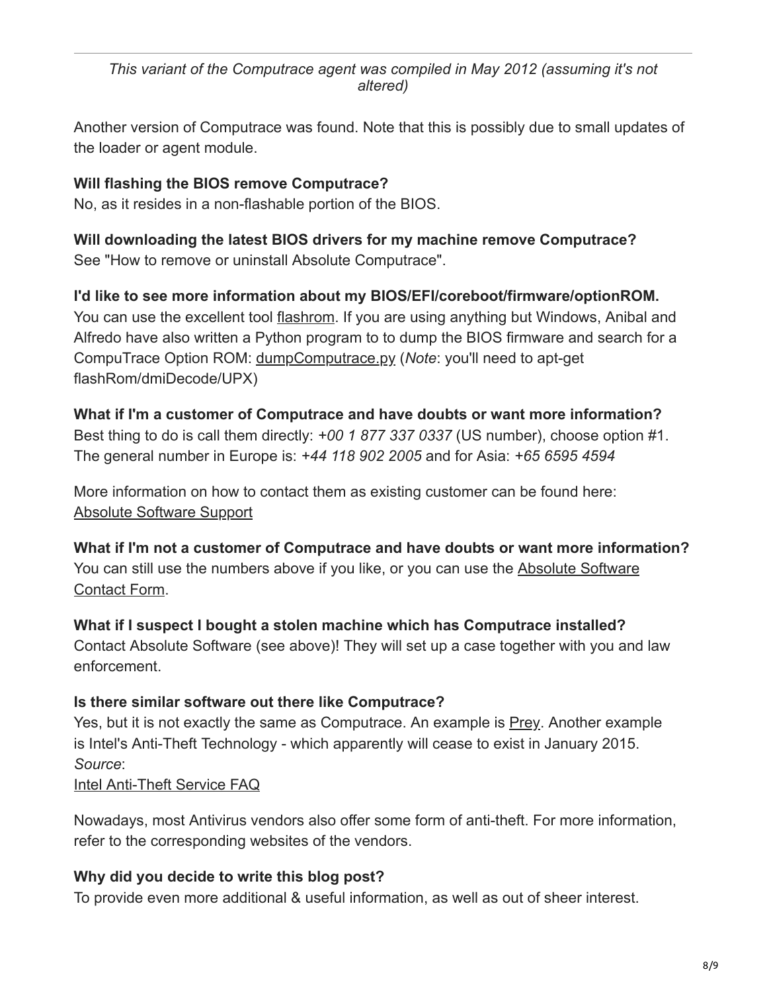#### *This variant of the Computrace agent was compiled in May 2012 (assuming it's not altered)*

Another version of Computrace was found. Note that this is possibly due to small updates of the loader or agent module.

# **Will flashing the BIOS remove Computrace?**

No, as it resides in a non-flashable portion of the BIOS.

**Will downloading the latest BIOS drivers for my machine remove Computrace?** See "How to remove or uninstall Absolute Computrace".

**I'd like to see more information about my BIOS/EFI/coreboot/firmware/optionROM.** You can use the excellent tool [flashrom](http://flashrom.org/Flashrom). If you are using anything but Windows, Anibal and Alfredo have also written a Python program to to dump the BIOS firmware and search for a CompuTrace Option ROM: [dumpComputrace.py](http://corelabs.coresecurity.com/index.php?module=Wiki&action=attachment&type=publication&page=Deactivate_the_Rootkit&file=dumpComputrace.py) (*Note*: you'll need to apt-get flashRom/dmiDecode/UPX)

# **What if I'm a customer of Computrace and have doubts or want more information?**

Best thing to do is call them directly: *+00 1 877 337 0337* (US number), choose option #1. The general number in Europe is: *+44 118 902 2005* and for Asia: *+65 6595 4594*

More information on how to contact them as existing customer can be found here: [Absolute Software Support](https://www.absolute.com/en/support/absolute-computrace)

**What if I'm not a customer of Computrace and have doubts or want more information?** [You can still use the numbers above if you like, or you can use the Absolute Software](https://www.absolute.com/en/support/contact/security) Contact Form.

**What if I suspect I bought a stolen machine which has Computrace installed?**

Contact Absolute Software (see above)! They will set up a case together with you and law enforcement.

# **Is there similar software out there like Computrace?**

Yes, but it is not exactly the same as Computrace. An example is [Prey](https://preyproject.com/). Another example is Intel's Anti-Theft Technology - which apparently will cease to exist in January 2015. *Source*:

# [Intel Anti-Theft Service FAQ](http://www.intel.com/content/www/us/en/architecture-and-technology/anti-theft/intel-anti-theft-service-faq.html)

Nowadays, most Antivirus vendors also offer some form of anti-theft. For more information, refer to the corresponding websites of the vendors.

# **Why did you decide to write this blog post?**

To provide even more additional & useful information, as well as out of sheer interest.